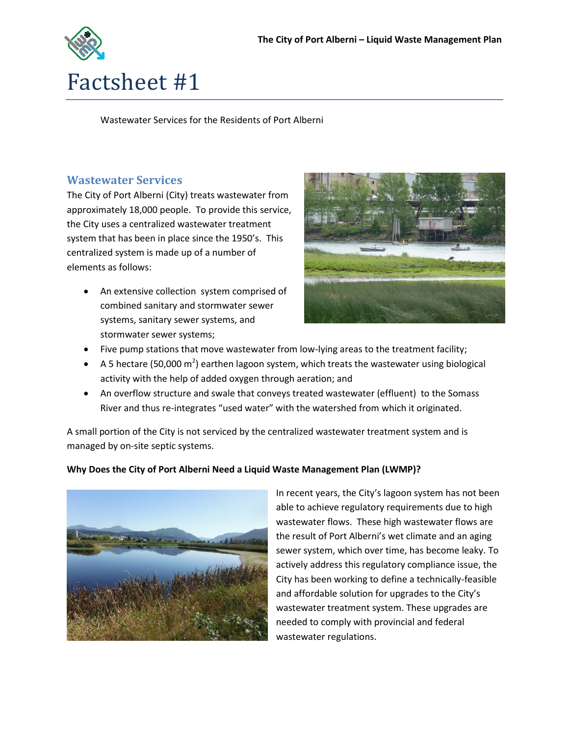

Wastewater Services for the Residents of Port Alberni

## **Wastewater Services**

The City of Port Alberni (City) treats wastewater from approximately 18,000 people. To provide this service, the City uses a centralized wastewater treatment system that has been in place since the 1950's. This centralized system is made up of a number of elements as follows:

 An extensive collection system comprised of combined sanitary and stormwater sewer systems, sanitary sewer systems, and stormwater sewer systems;



- Five pump stations that move wastewater from low-lying areas to the treatment facility;
- A 5 hectare (50,000 m<sup>2</sup>) earthen lagoon system, which treats the wastewater using biological activity with the help of added oxygen through aeration; and
- An overflow structure and swale that conveys treated wastewater (effluent) to the Somass River and thus re-integrates "used water" with the watershed from which it originated.

A small portion of the City is not serviced by the centralized wastewater treatment system and is managed by on-site septic systems.

## **Why Does the City of Port Alberni Need a Liquid Waste Management Plan (LWMP)?**



In recent years, the City's lagoon system has not been able to achieve regulatory requirements due to high wastewater flows. These high wastewater flows are the result of Port Alberni's wet climate and an aging sewer system, which over time, has become leaky. To actively address this regulatory compliance issue, the City has been working to define a technically-feasible and affordable solution for upgrades to the City's wastewater treatment system. These upgrades are needed to comply with provincial and federal wastewater regulations.